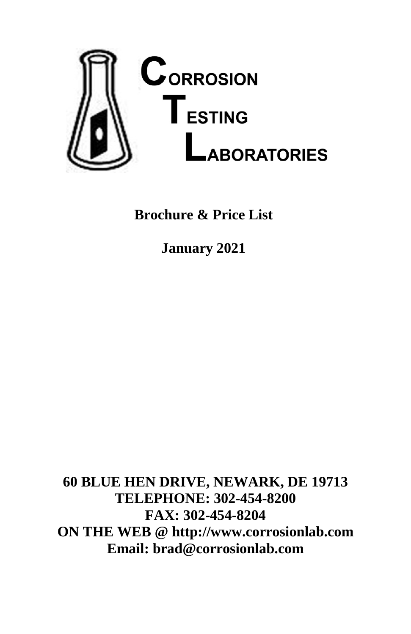

**Brochure & Price List**

**January 2021**

**60 BLUE HEN DRIVE, NEWARK, DE 19713 TELEPHONE: 302-454-8200 FAX: 302-454-8204 ON THE WEB @ http://www.corrosionlab.com Email: brad@corrosionlab.com**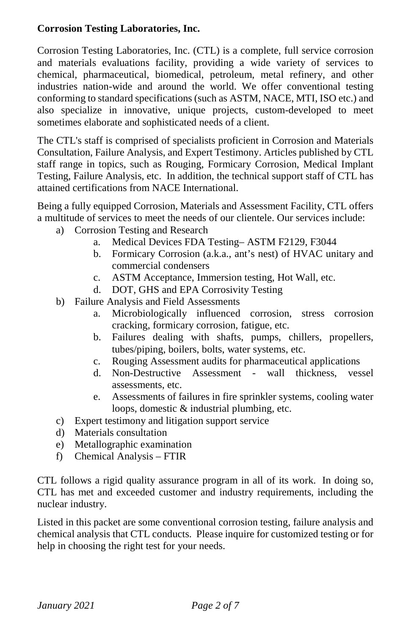#### **Corrosion Testing Laboratories, Inc.**

Corrosion Testing Laboratories, Inc. (CTL) is a complete, full service corrosion and materials evaluations facility, providing a wide variety of services to chemical, pharmaceutical, biomedical, petroleum, metal refinery, and other industries nation-wide and around the world. We offer conventional testing conforming to standard specifications (such as ASTM, NACE, MTI, ISO etc.) and also specialize in innovative, unique projects, custom-developed to meet sometimes elaborate and sophisticated needs of a client.

The CTL's staff is comprised of specialists proficient in Corrosion and Materials Consultation, Failure Analysis, and Expert Testimony. Articles published by CTL staff range in topics, such as Rouging, Formicary Corrosion, Medical Implant Testing, Failure Analysis, etc. In addition, the technical support staff of CTL has attained certifications from NACE International.

Being a fully equipped Corrosion, Materials and Assessment Facility, CTL offers a multitude of services to meet the needs of our clientele. Our services include:

- a) Corrosion Testing and Research
	- a. Medical Devices FDA Testing– ASTM F2129, F3044
	- b. Formicary Corrosion (a.k.a., ant's nest) of HVAC unitary and commercial condensers
	- c. ASTM Acceptance, Immersion testing, Hot Wall, etc.
	- d. DOT, GHS and EPA Corrosivity Testing
- b) Failure Analysis and Field Assessments
	- a. Microbiologically influenced corrosion, stress corrosion cracking, formicary corrosion, fatigue, etc.
	- b. Failures dealing with shafts, pumps, chillers, propellers, tubes/piping, boilers, bolts, water systems, etc.
	- c. Rouging Assessment audits for pharmaceutical applications
	- d. Non-Destructive Assessment wall assessments, etc.
	- e. Assessments of failures in fire sprinkler systems, cooling water loops, domestic & industrial plumbing, etc.
- c) Expert testimony and litigation support service
- d) Materials consultation
- e) Metallographic examination
- f) Chemical Analysis FTIR

CTL follows a rigid quality assurance program in all of its work. In doing so, CTL has met and exceeded customer and industry requirements, including the nuclear industry.

Listed in this packet are some conventional corrosion testing, failure analysis and chemical analysis that CTL conducts. Please inquire for customized testing or for help in choosing the right test for your needs.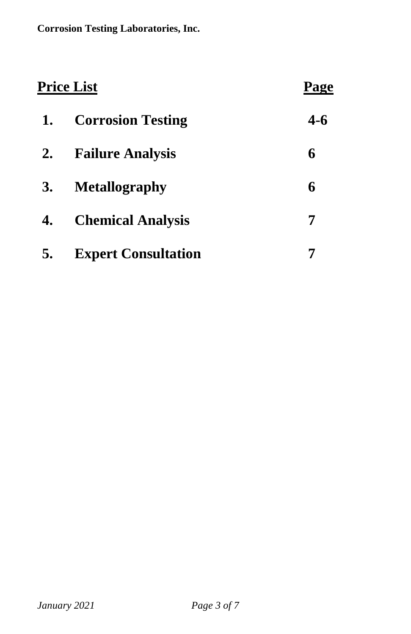| <u> Price List</u> |                            | <b>Page</b> |
|--------------------|----------------------------|-------------|
| 1.                 | <b>Corrosion Testing</b>   | $4 - 6$     |
| 2.                 | <b>Failure Analysis</b>    | 6           |
| <b>3.</b>          | <b>Metallography</b>       | 6           |
| 4.                 | <b>Chemical Analysis</b>   | 7           |
| 5.                 | <b>Expert Consultation</b> |             |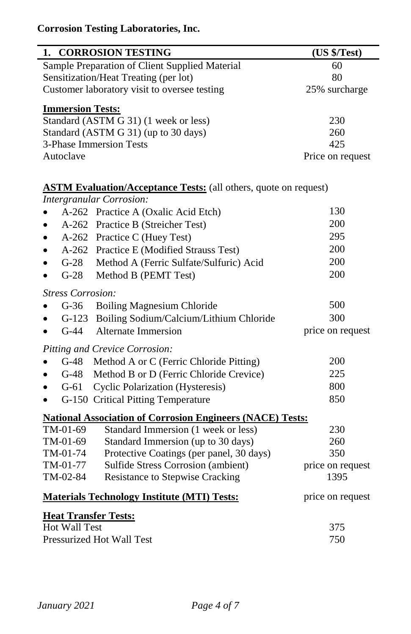# **Corrosion Testing Laboratories, Inc.**

| 1. CORROSION TESTING                                                    | (US \$/Test)     |  |  |
|-------------------------------------------------------------------------|------------------|--|--|
| Sample Preparation of Client Supplied Material                          | 60               |  |  |
| Sensitization/Heat Treating (per lot)                                   | 80               |  |  |
| Customer laboratory visit to oversee testing                            | 25% surcharge    |  |  |
| <b>Immersion Tests:</b>                                                 |                  |  |  |
| Standard (ASTM G 31) (1 week or less)                                   | 230              |  |  |
| Standard (ASTM G 31) (up to 30 days)                                    | 260              |  |  |
| <b>3-Phase Immersion Tests</b>                                          | 425              |  |  |
| Autoclave                                                               | Price on request |  |  |
| <b>ASTM Evaluation/Acceptance Tests:</b> (all others, quote on request) |                  |  |  |
| <b>Intergranular Corrosion:</b>                                         |                  |  |  |
| A-262 Practice A (Oxalic Acid Etch)                                     | 130              |  |  |
| A-262 Practice B (Streicher Test)<br>$\bullet$                          | 200              |  |  |
| A-262 Practice C (Huey Test)                                            | 295              |  |  |
| A-262 Practice E (Modified Strauss Test)<br>$\bullet$                   | 200              |  |  |
| G-28 Method A (Ferric Sulfate/Sulfuric) Acid                            | 200              |  |  |
| $G-28$<br>Method B (PEMT Test)<br>$\bullet$                             | 200              |  |  |
| <b>Stress Corrosion:</b>                                                |                  |  |  |
| $G-36$<br><b>Boiling Magnesium Chloride</b>                             | 500              |  |  |
| G-123 Boiling Sodium/Calcium/Lithium Chloride                           | 300              |  |  |
| $G-44$<br><b>Alternate Immersion</b>                                    | price on request |  |  |
| Pitting and Crevice Corrosion:                                          |                  |  |  |
| G-48 Method A or C (Ferric Chloride Pitting)<br>$\bullet$               | 200              |  |  |
| $G-48$<br>Method B or D (Ferric Chloride Crevice)<br>$\bullet$          | 225              |  |  |
| $G-61$<br><b>Cyclic Polarization (Hysteresis)</b><br>٠                  | 800              |  |  |
| G-150 Critical Pitting Temperature                                      | 850              |  |  |
| <b>National Association of Corrosion Engineers (NACE) Tests:</b>        |                  |  |  |
| TM-01-69<br>Standard Immersion (1 week or less)                         | 230              |  |  |
| TM-01-69<br>Standard Immersion (up to 30 days)                          | 260              |  |  |
| TM-01-74<br>Protective Coatings (per panel, 30 days)                    | 350              |  |  |
| Sulfide Stress Corrosion (ambient)<br>TM-01-77                          | price on request |  |  |
| TM-02-84<br>Resistance to Stepwise Cracking                             | 1395             |  |  |
| <b>Materials Technology Institute (MTI) Tests:</b>                      | price on request |  |  |
| <b>Heat Transfer Tests:</b>                                             |                  |  |  |
| Hot Wall Test                                                           | 375              |  |  |
| <b>Pressurized Hot Wall Test</b>                                        | 750              |  |  |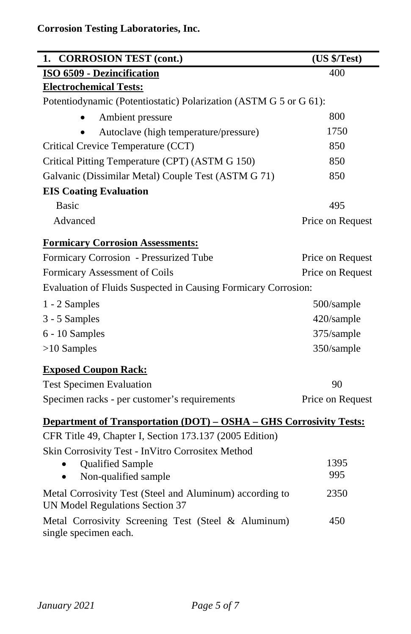| <b>CORROSION TEST (cont.)</b><br>1.                                                         | (US \$/Test)     |  |  |
|---------------------------------------------------------------------------------------------|------------------|--|--|
| ISO 6509 - Dezincification                                                                  | 400              |  |  |
| <b>Electrochemical Tests:</b>                                                               |                  |  |  |
| Potentiodynamic (Potentiostatic) Polarization (ASTM G 5 or G 61):                           |                  |  |  |
| Ambient pressure                                                                            | 800              |  |  |
| Autoclave (high temperature/pressure)                                                       | 1750             |  |  |
| Critical Crevice Temperature (CCT)                                                          | 850              |  |  |
| Critical Pitting Temperature (CPT) (ASTM G 150)                                             | 850              |  |  |
| Galvanic (Dissimilar Metal) Couple Test (ASTM G 71)                                         | 850              |  |  |
| <b>EIS Coating Evaluation</b>                                                               |                  |  |  |
| <b>Basic</b>                                                                                | 495              |  |  |
| Advanced                                                                                    | Price on Request |  |  |
| <b>Formicary Corrosion Assessments:</b>                                                     |                  |  |  |
| Formicary Corrosion - Pressurized Tube                                                      | Price on Request |  |  |
| Formicary Assessment of Coils                                                               | Price on Request |  |  |
| Evaluation of Fluids Suspected in Causing Formicary Corrosion:                              |                  |  |  |
| 1 - 2 Samples                                                                               | 500/sample       |  |  |
| 3 - 5 Samples                                                                               | 420/sample       |  |  |
| 6 - 10 Samples                                                                              | 375/sample       |  |  |
| $>10$ Samples                                                                               | 350/sample       |  |  |
| <b>Exposed Coupon Rack:</b>                                                                 |                  |  |  |
| <b>Test Specimen Evaluation</b>                                                             | 90               |  |  |
| Specimen racks - per customer's requirements                                                | Price on Request |  |  |
| Department of Transportation (DOT) - OSHA - GHS Corrosivity Tests:                          |                  |  |  |
| CFR Title 49, Chapter I, Section 173.137 (2005 Edition)                                     |                  |  |  |
| Skin Corrosivity Test - InVitro Corrositex Method                                           |                  |  |  |
| Qualified Sample                                                                            | 1395             |  |  |
| Non-qualified sample                                                                        | 995              |  |  |
| Metal Corrosivity Test (Steel and Aluminum) according to<br>UN Model Regulations Section 37 | 2350             |  |  |
| Metal Corrosivity Screening Test (Steel & Aluminum)<br>single specimen each.                | 450              |  |  |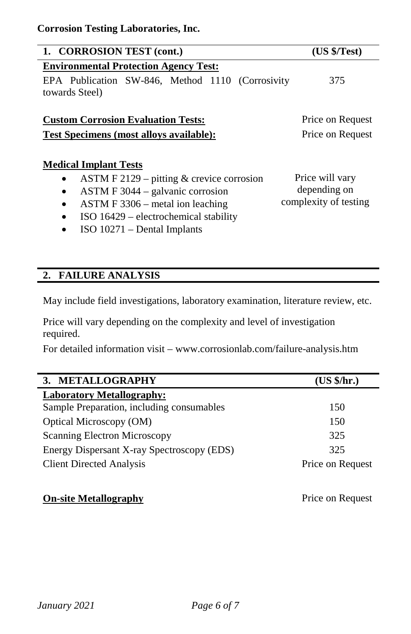| 1. CORROSION TEST (cont.)                                                                                     | (US \$/Test)          |
|---------------------------------------------------------------------------------------------------------------|-----------------------|
| <b>Environmental Protection Agency Test:</b>                                                                  |                       |
| EPA Publication SW-846, Method 1110 (Corrosivity<br>towards Steel)                                            | 375                   |
| <b>Custom Corrosion Evaluation Tests:</b>                                                                     | Price on Request      |
| <b>Test Specimens (most alloys available):</b>                                                                | Price on Request      |
| <b>Medical Implant Tests</b>                                                                                  |                       |
| ASTM F 2129 – pitting $&$ crevice corrosion                                                                   | Price will vary       |
| $ASTM F 3044 - galvanic corrosion$<br>$\bullet$                                                               | depending on          |
| ASTM F 3306 – metal ion leading<br>$\bullet$                                                                  | complexity of testing |
| ISO 16429 – electrochemical stability                                                                         |                       |
| $\mathbf{100}$ $\mathbf{100}$ $\mathbf{11}$ $\mathbf{0}$ $\mathbf{11}$ $\mathbf{1}$ $\mathbf{1}$ $\mathbf{1}$ |                       |

• ISO 10271 – Dental Implants

## **2. FAILURE ANALYSIS**

May include field investigations, laboratory examination, literature review, etc.

Price will vary depending on the complexity and level of investigation required.

For detailed information visit – www.corrosionlab.com/failure-analysis.htm

| METALLOGRAPHY                              | (US \$/hr.)      |
|--------------------------------------------|------------------|
| <b>Laboratory Metallography:</b>           |                  |
| Sample Preparation, including consumables  | 150              |
| Optical Microscopy (OM)                    | 150              |
| Scanning Electron Microscopy               | 325              |
| Energy Dispersant X-ray Spectroscopy (EDS) | 325              |
| <b>Client Directed Analysis</b>            | Price on Request |

### **On-site Metallography** Price on Request